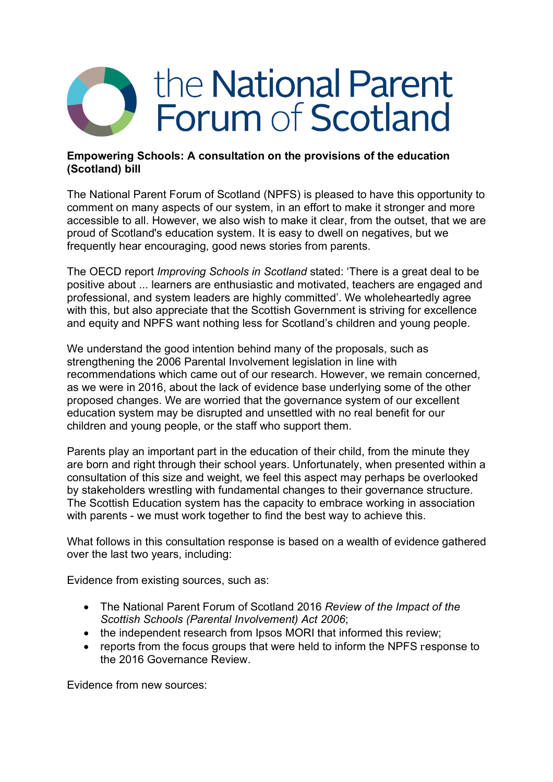# the National Parent **Forum of Scotland**

# **Empowering Schools: A consultation on the provisions of the education (Scotland) bill**

The National Parent Forum of Scotland (NPFS) is pleased to have this opportunity to comment on many aspects of our system, in an effort to make it stronger and more accessible to all. However, we also wish to make it clear, from the outset, that we are proud of Scotland's education system. It is easy to dwell on negatives, but we frequently hear encouraging, good news stories from parents.

The OECD report *Improving Schools in Scotland* stated: 'There is a great deal to be positive about ... learners are enthusiastic and motivated, teachers are engaged and professional, and system leaders are highly committed'. We wholeheartedly agree with this, but also appreciate that the Scottish Government is striving for excellence and equity and NPFS want nothing less for Scotland's children and young people.

We understand the good intention behind many of the proposals, such as strengthening the 2006 Parental Involvement legislation in line with recommendations which came out of our research. However, we remain concerned, as we were in 2016, about the lack of evidence base underlying some of the other proposed changes. We are worried that the governance system of our excellent education system may be disrupted and unsettled with no real benefit for our children and young people, or the staff who support them.

Parents play an important part in the education of their child, from the minute they are born and right through their school years. Unfortunately, when presented within a consultation of this size and weight, we feel this aspect may perhaps be overlooked by stakeholders wrestling with fundamental changes to their governance structure. The Scottish Education system has the capacity to embrace working in association with parents - we must work together to find the best way to achieve this.

What follows in this consultation response is based on a wealth of evidence gathered over the last two years, including:

Evidence from existing sources, such as:

- The National Parent Forum of Scotland 2016 *Review of the Impact of the Scottish Schools (Parental Involvement) Act 2006*;
- the independent research from Ipsos MORI that informed this review;
- reports from the focus groups that were held to inform the NPFS response to the 2016 Governance Review.

Evidence from new sources: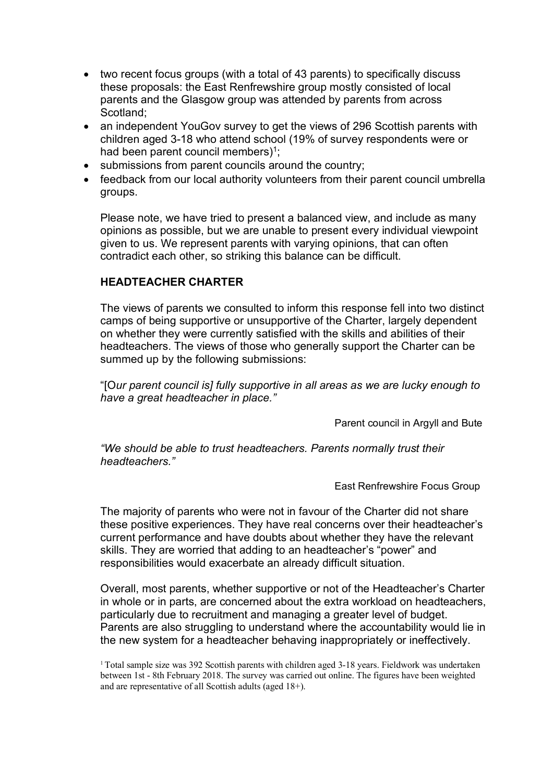- two recent focus groups (with a total of 43 parents) to specifically discuss these proposals: the East Renfrewshire group mostly consisted of local parents and the Glasgow group was attended by parents from across Scotland;
- an independent YouGov survey to get the views of 296 Scottish parents with children aged 3-18 who attend school (19% of survey respondents were or had been parent council members)<sup>1</sup>;
- submissions from parent councils around the country;
- feedback from our local authority volunteers from their parent council umbrella groups.

Please note, we have tried to present a balanced view, and include as many opinions as possible, but we are unable to present every individual viewpoint given to us. We represent parents with varying opinions, that can often contradict each other, so striking this balance can be difficult.

# **HEADTEACHER CHARTER**

The views of parents we consulted to inform this response fell into two distinct camps of being supportive or unsupportive of the Charter, largely dependent on whether they were currently satisfied with the skills and abilities of their headteachers. The views of those who generally support the Charter can be summed up by the following submissions:

"[O*ur parent council is] fully supportive in all areas as we are lucky enough to have a great headteacher in place."* 

Parent council in Argyll and Bute

*"We should be able to trust headteachers. Parents normally trust their headteachers."* 

East Renfrewshire Focus Group

The majority of parents who were not in favour of the Charter did not share these positive experiences. They have real concerns over their headteacher's current performance and have doubts about whether they have the relevant skills. They are worried that adding to an headteacher's "power" and responsibilities would exacerbate an already difficult situation.

Overall, most parents, whether supportive or not of the Headteacher's Charter in whole or in parts, are concerned about the extra workload on headteachers, particularly due to recruitment and managing a greater level of budget. Parents are also struggling to understand where the accountability would lie in the new system for a headteacher behaving inappropriately or ineffectively.

<sup>&</sup>lt;sup>1</sup> Total sample size was 392 Scottish parents with children aged 3-18 years. Fieldwork was undertaken between 1st - 8th February 2018. The survey was carried out online. The figures have been weighted and are representative of all Scottish adults (aged 18+).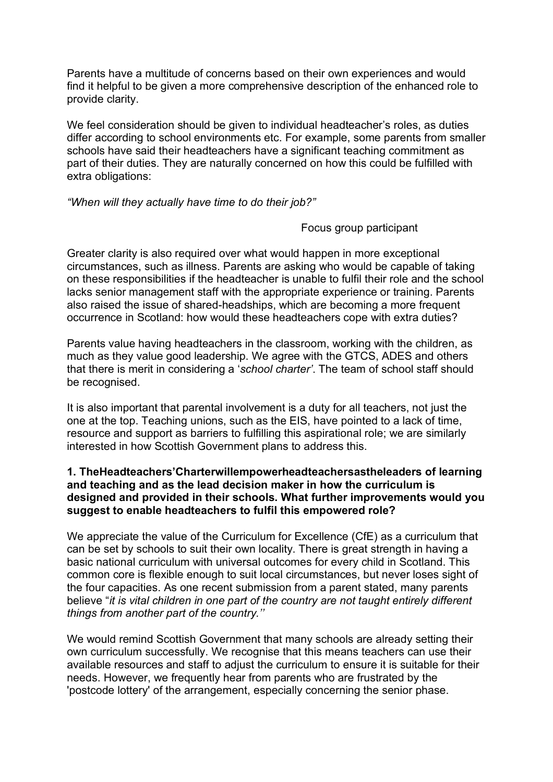Parents have a multitude of concerns based on their own experiences and would find it helpful to be given a more comprehensive description of the enhanced role to provide clarity.

We feel consideration should be given to individual headteacher's roles, as duties differ according to school environments etc. For example, some parents from smaller schools have said their headteachers have a significant teaching commitment as part of their duties. They are naturally concerned on how this could be fulfilled with extra obligations:

*"When will they actually have time to do their job?"* 

Focus group participant

Greater clarity is also required over what would happen in more exceptional circumstances, such as illness. Parents are asking who would be capable of taking on these responsibilities if the headteacher is unable to fulfil their role and the school lacks senior management staff with the appropriate experience or training. Parents also raised the issue of shared-headships, which are becoming a more frequent occurrence in Scotland: how would these headteachers cope with extra duties?

Parents value having headteachers in the classroom, working with the children, as much as they value good leadership. We agree with the GTCS, ADES and others that there is merit in considering a '*school charter'*. The team of school staff should be recognised.

It is also important that parental involvement is a duty for all teachers, not just the one at the top. Teaching unions, such as the EIS, have pointed to a lack of time, resource and support as barriers to fulfilling this aspirational role; we are similarly interested in how Scottish Government plans to address this.

# **1. TheHeadteachers'Charterwillempowerheadteachersastheleaders of learning and teaching and as the lead decision maker in how the curriculum is designed and provided in their schools. What further improvements would you suggest to enable headteachers to fulfil this empowered role?**

We appreciate the value of the Curriculum for Excellence (CfE) as a curriculum that can be set by schools to suit their own locality. There is great strength in having a basic national curriculum with universal outcomes for every child in Scotland. This common core is flexible enough to suit local circumstances, but never loses sight of the four capacities. As one recent submission from a parent stated, many parents believe "*it is vital children in one part of the country are not taught entirely different things from another part of the country.''* 

We would remind Scottish Government that many schools are already setting their own curriculum successfully. We recognise that this means teachers can use their available resources and staff to adjust the curriculum to ensure it is suitable for their needs. However, we frequently hear from parents who are frustrated by the 'postcode lottery' of the arrangement, especially concerning the senior phase.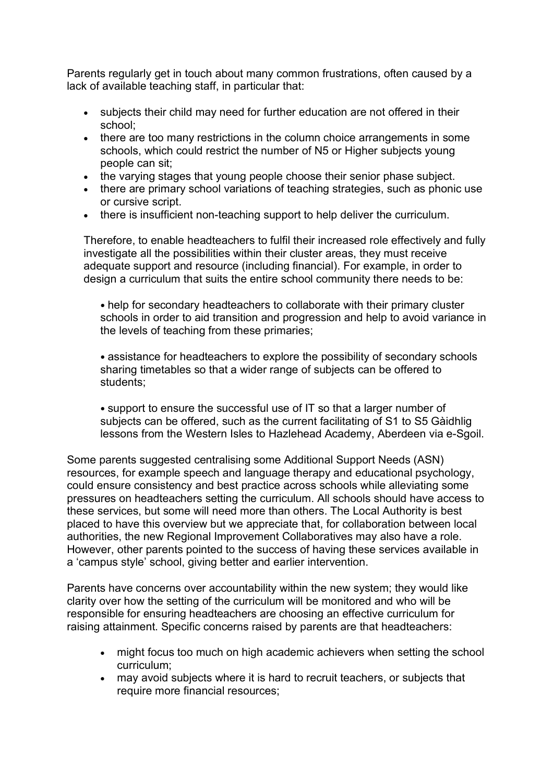Parents regularly get in touch about many common frustrations, often caused by a lack of available teaching staff, in particular that:

- subjects their child may need for further education are not offered in their school;
- there are too many restrictions in the column choice arrangements in some schools, which could restrict the number of N5 or Higher subjects young people can sit;
- the varying stages that young people choose their senior phase subject.
- there are primary school variations of teaching strategies, such as phonic use or cursive script.
- there is insufficient non-teaching support to help deliver the curriculum.

Therefore, to enable headteachers to fulfil their increased role effectively and fully investigate all the possibilities within their cluster areas, they must receive adequate support and resource (including financial). For example, in order to design a curriculum that suits the entire school community there needs to be:

• help for secondary headteachers to collaborate with their primary cluster schools in order to aid transition and progression and help to avoid variance in the levels of teaching from these primaries;

• assistance for headteachers to explore the possibility of secondary schools sharing timetables so that a wider range of subjects can be offered to students;

• support to ensure the successful use of IT so that a larger number of subjects can be offered, such as the current facilitating of S1 to S5 Gàidhlig lessons from the Western Isles to Hazlehead Academy, Aberdeen via e-Sgoil.

Some parents suggested centralising some Additional Support Needs (ASN) resources, for example speech and language therapy and educational psychology, could ensure consistency and best practice across schools while alleviating some pressures on headteachers setting the curriculum. All schools should have access to these services, but some will need more than others. The Local Authority is best placed to have this overview but we appreciate that, for collaboration between local authorities, the new Regional Improvement Collaboratives may also have a role. However, other parents pointed to the success of having these services available in a 'campus style' school, giving better and earlier intervention.

Parents have concerns over accountability within the new system; they would like clarity over how the setting of the curriculum will be monitored and who will be responsible for ensuring headteachers are choosing an effective curriculum for raising attainment. Specific concerns raised by parents are that headteachers:

- might focus too much on high academic achievers when setting the school curriculum;
- may avoid subjects where it is hard to recruit teachers, or subjects that require more financial resources;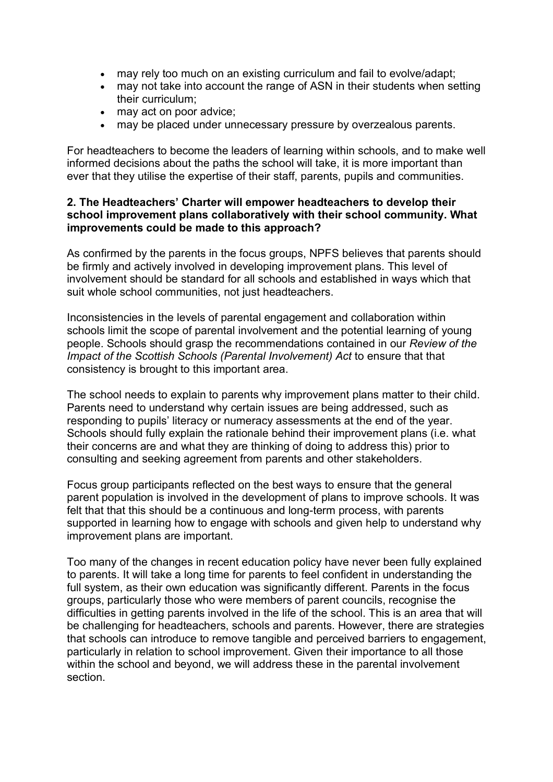- may rely too much on an existing curriculum and fail to evolve/adapt;
- may not take into account the range of ASN in their students when setting their curriculum;
- may act on poor advice;
- may be placed under unnecessary pressure by overzealous parents.

For headteachers to become the leaders of learning within schools, and to make well informed decisions about the paths the school will take, it is more important than ever that they utilise the expertise of their staff, parents, pupils and communities.

#### **2. The Headteachers' Charter will empower headteachers to develop their school improvement plans collaboratively with their school community. What improvements could be made to this approach?**

As confirmed by the parents in the focus groups, NPFS believes that parents should be firmly and actively involved in developing improvement plans. This level of involvement should be standard for all schools and established in ways which that suit whole school communities, not just headteachers.

Inconsistencies in the levels of parental engagement and collaboration within schools limit the scope of parental involvement and the potential learning of young people. Schools should grasp the recommendations contained in our *Review of the Impact of the Scottish Schools (Parental Involvement) Act* to ensure that that consistency is brought to this important area.

The school needs to explain to parents why improvement plans matter to their child. Parents need to understand why certain issues are being addressed, such as responding to pupils' literacy or numeracy assessments at the end of the year. Schools should fully explain the rationale behind their improvement plans (i.e. what their concerns are and what they are thinking of doing to address this) prior to consulting and seeking agreement from parents and other stakeholders.

Focus group participants reflected on the best ways to ensure that the general parent population is involved in the development of plans to improve schools. It was felt that that this should be a continuous and long-term process, with parents supported in learning how to engage with schools and given help to understand why improvement plans are important.

Too many of the changes in recent education policy have never been fully explained to parents. It will take a long time for parents to feel confident in understanding the full system, as their own education was significantly different. Parents in the focus groups, particularly those who were members of parent councils, recognise the difficulties in getting parents involved in the life of the school. This is an area that will be challenging for headteachers, schools and parents. However, there are strategies that schools can introduce to remove tangible and perceived barriers to engagement, particularly in relation to school improvement. Given their importance to all those within the school and beyond, we will address these in the parental involvement section.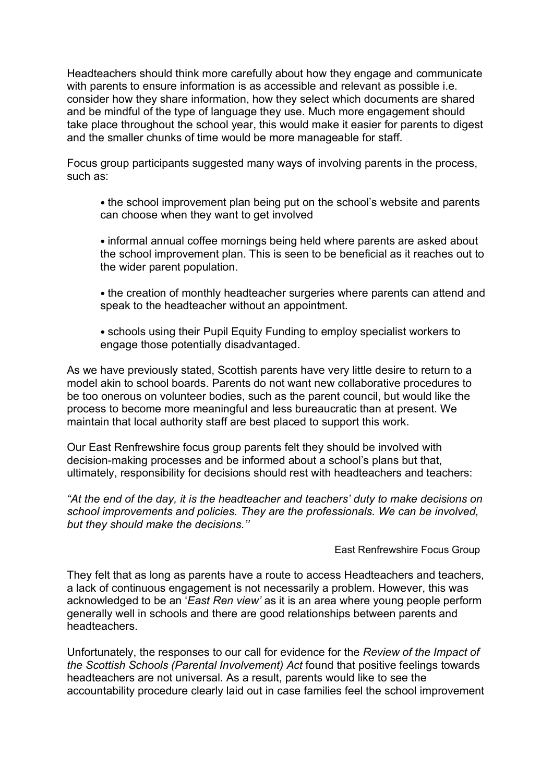Headteachers should think more carefully about how they engage and communicate with parents to ensure information is as accessible and relevant as possible i.e. consider how they share information, how they select which documents are shared and be mindful of the type of language they use. Much more engagement should take place throughout the school year, this would make it easier for parents to digest and the smaller chunks of time would be more manageable for staff.

Focus group participants suggested many ways of involving parents in the process, such as:

• the school improvement plan being put on the school's website and parents can choose when they want to get involved

• informal annual coffee mornings being held where parents are asked about the school improvement plan. This is seen to be beneficial as it reaches out to the wider parent population.

• the creation of monthly headteacher surgeries where parents can attend and speak to the headteacher without an appointment.

• schools using their Pupil Equity Funding to employ specialist workers to engage those potentially disadvantaged.

As we have previously stated, Scottish parents have very little desire to return to a model akin to school boards. Parents do not want new collaborative procedures to be too onerous on volunteer bodies, such as the parent council, but would like the process to become more meaningful and less bureaucratic than at present. We maintain that local authority staff are best placed to support this work.

Our East Renfrewshire focus group parents felt they should be involved with decision-making processes and be informed about a school's plans but that, ultimately, responsibility for decisions should rest with headteachers and teachers:

*"At the end of the day, it is the headteacher and teachers' duty to make decisions on school improvements and policies. They are the professionals. We can be involved, but they should make the decisions.''* 

#### East Renfrewshire Focus Group

They felt that as long as parents have a route to access Headteachers and teachers, a lack of continuous engagement is not necessarily a problem. However, this was acknowledged to be an '*East Ren view'* as it is an area where young people perform generally well in schools and there are good relationships between parents and headteachers.

Unfortunately, the responses to our call for evidence for the *Review of the Impact of the Scottish Schools (Parental Involvement) Act* found that positive feelings towards headteachers are not universal. As a result, parents would like to see the accountability procedure clearly laid out in case families feel the school improvement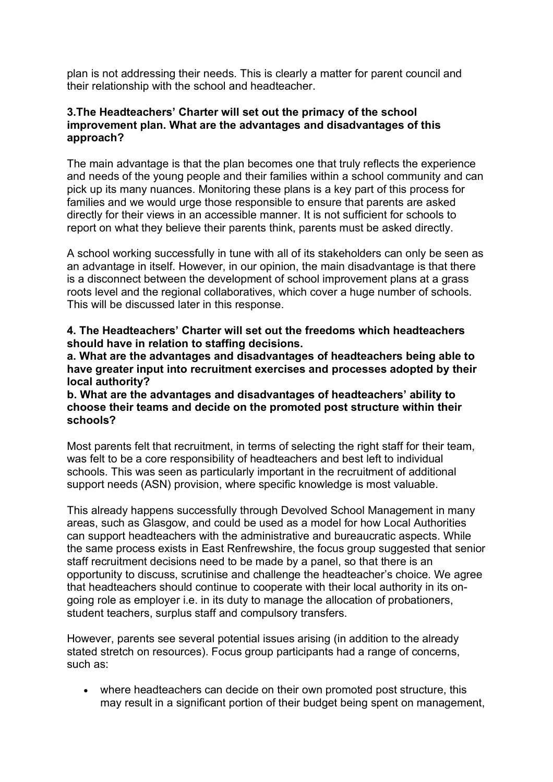plan is not addressing their needs. This is clearly a matter for parent council and their relationship with the school and headteacher.

#### **3.The Headteachers' Charter will set out the primacy of the school improvement plan. What are the advantages and disadvantages of this approach?**

The main advantage is that the plan becomes one that truly reflects the experience and needs of the young people and their families within a school community and can pick up its many nuances. Monitoring these plans is a key part of this process for families and we would urge those responsible to ensure that parents are asked directly for their views in an accessible manner. It is not sufficient for schools to report on what they believe their parents think, parents must be asked directly.

A school working successfully in tune with all of its stakeholders can only be seen as an advantage in itself. However, in our opinion, the main disadvantage is that there is a disconnect between the development of school improvement plans at a grass roots level and the regional collaboratives, which cover a huge number of schools. This will be discussed later in this response.

**4. The Headteachers' Charter will set out the freedoms which headteachers should have in relation to staffing decisions.**

**a. What are the advantages and disadvantages of headteachers being able to have greater input into recruitment exercises and processes adopted by their local authority?**

**b. What are the advantages and disadvantages of headteachers' ability to choose their teams and decide on the promoted post structure within their schools?** 

Most parents felt that recruitment, in terms of selecting the right staff for their team, was felt to be a core responsibility of headteachers and best left to individual schools. This was seen as particularly important in the recruitment of additional support needs (ASN) provision, where specific knowledge is most valuable.

This already happens successfully through Devolved School Management in many areas, such as Glasgow, and could be used as a model for how Local Authorities can support headteachers with the administrative and bureaucratic aspects. While the same process exists in East Renfrewshire, the focus group suggested that senior staff recruitment decisions need to be made by a panel, so that there is an opportunity to discuss, scrutinise and challenge the headteacher's choice. We agree that headteachers should continue to cooperate with their local authority in its ongoing role as employer i.e. in its duty to manage the allocation of probationers, student teachers, surplus staff and compulsory transfers.

However, parents see several potential issues arising (in addition to the already stated stretch on resources). Focus group participants had a range of concerns, such as:

• where headteachers can decide on their own promoted post structure, this may result in a significant portion of their budget being spent on management,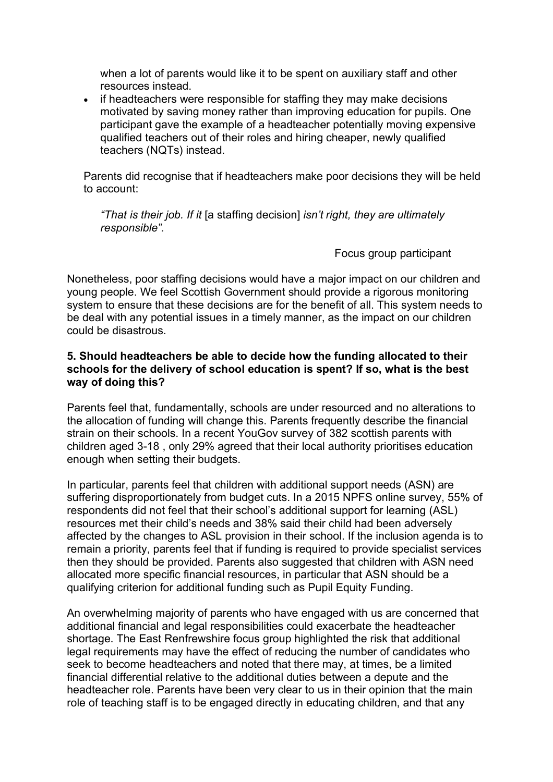when a lot of parents would like it to be spent on auxiliary staff and other resources instead.

• if headteachers were responsible for staffing they may make decisions motivated by saving money rather than improving education for pupils. One participant gave the example of a headteacher potentially moving expensive qualified teachers out of their roles and hiring cheaper, newly qualified teachers (NQTs) instead.

Parents did recognise that if headteachers make poor decisions they will be held to account:

*"That is their job. If it* [a staffing decision] *isn't right, they are ultimately responsible".* 

Focus group participant

Nonetheless, poor staffing decisions would have a major impact on our children and young people. We feel Scottish Government should provide a rigorous monitoring system to ensure that these decisions are for the benefit of all. This system needs to be deal with any potential issues in a timely manner, as the impact on our children could be disastrous.

#### **5. Should headteachers be able to decide how the funding allocated to their schools for the delivery of school education is spent? If so, what is the best way of doing this?**

Parents feel that, fundamentally, schools are under resourced and no alterations to the allocation of funding will change this. Parents frequently describe the financial strain on their schools. In a recent YouGov survey of 382 scottish parents with children aged 3-18 , only 29% agreed that their local authority prioritises education enough when setting their budgets.

In particular, parents feel that children with additional support needs (ASN) are suffering disproportionately from budget cuts. In a 2015 NPFS online survey, 55% of respondents did not feel that their school's additional support for learning (ASL) resources met their child's needs and 38% said their child had been adversely affected by the changes to ASL provision in their school. If the inclusion agenda is to remain a priority, parents feel that if funding is required to provide specialist services then they should be provided. Parents also suggested that children with ASN need allocated more specific financial resources, in particular that ASN should be a qualifying criterion for additional funding such as Pupil Equity Funding.

An overwhelming majority of parents who have engaged with us are concerned that additional financial and legal responsibilities could exacerbate the headteacher shortage. The East Renfrewshire focus group highlighted the risk that additional legal requirements may have the effect of reducing the number of candidates who seek to become headteachers and noted that there may, at times, be a limited financial differential relative to the additional duties between a depute and the headteacher role. Parents have been very clear to us in their opinion that the main role of teaching staff is to be engaged directly in educating children, and that any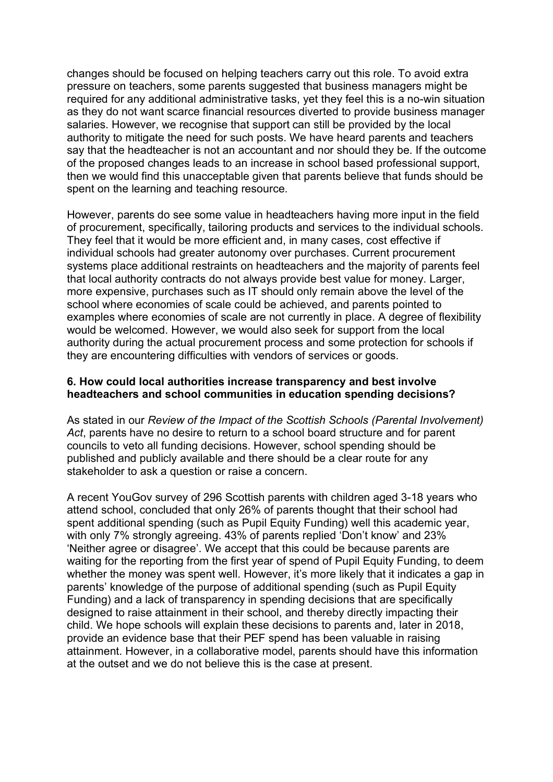changes should be focused on helping teachers carry out this role. To avoid extra pressure on teachers, some parents suggested that business managers might be required for any additional administrative tasks, yet they feel this is a no-win situation as they do not want scarce financial resources diverted to provide business manager salaries. However, we recognise that support can still be provided by the local authority to mitigate the need for such posts. We have heard parents and teachers say that the headteacher is not an accountant and nor should they be. If the outcome of the proposed changes leads to an increase in school based professional support, then we would find this unacceptable given that parents believe that funds should be spent on the learning and teaching resource.

However, parents do see some value in headteachers having more input in the field of procurement, specifically, tailoring products and services to the individual schools. They feel that it would be more efficient and, in many cases, cost effective if individual schools had greater autonomy over purchases. Current procurement systems place additional restraints on headteachers and the majority of parents feel that local authority contracts do not always provide best value for money. Larger, more expensive, purchases such as IT should only remain above the level of the school where economies of scale could be achieved, and parents pointed to examples where economies of scale are not currently in place. A degree of flexibility would be welcomed. However, we would also seek for support from the local authority during the actual procurement process and some protection for schools if they are encountering difficulties with vendors of services or goods.

#### **6. How could local authorities increase transparency and best involve headteachers and school communities in education spending decisions?**

As stated in our *Review of the Impact of the Scottish Schools (Parental Involvement) Act*, parents have no desire to return to a school board structure and for parent councils to veto all funding decisions. However, school spending should be published and publicly available and there should be a clear route for any stakeholder to ask a question or raise a concern.

A recent YouGov survey of 296 Scottish parents with children aged 3-18 years who attend school, concluded that only 26% of parents thought that their school had spent additional spending (such as Pupil Equity Funding) well this academic year, with only 7% strongly agreeing. 43% of parents replied 'Don't know' and 23% 'Neither agree or disagree'. We accept that this could be because parents are waiting for the reporting from the first year of spend of Pupil Equity Funding, to deem whether the money was spent well. However, it's more likely that it indicates a gap in parents' knowledge of the purpose of additional spending (such as Pupil Equity Funding) and a lack of transparency in spending decisions that are specifically designed to raise attainment in their school, and thereby directly impacting their child. We hope schools will explain these decisions to parents and, later in 2018, provide an evidence base that their PEF spend has been valuable in raising attainment. However, in a collaborative model, parents should have this information at the outset and we do not believe this is the case at present.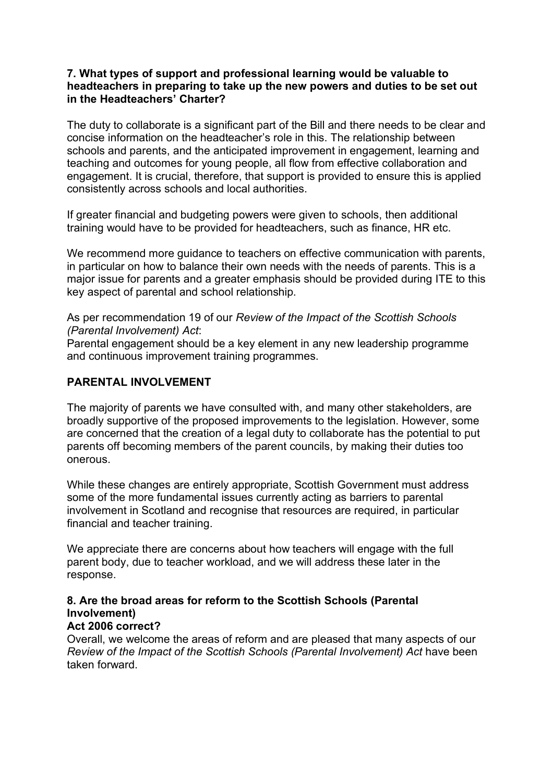#### **7. What types of support and professional learning would be valuable to headteachers in preparing to take up the new powers and duties to be set out in the Headteachers' Charter?**

The duty to collaborate is a significant part of the Bill and there needs to be clear and concise information on the headteacher's role in this. The relationship between schools and parents, and the anticipated improvement in engagement, learning and teaching and outcomes for young people, all flow from effective collaboration and engagement. It is crucial, therefore, that support is provided to ensure this is applied consistently across schools and local authorities.

If greater financial and budgeting powers were given to schools, then additional training would have to be provided for headteachers, such as finance, HR etc.

We recommend more guidance to teachers on effective communication with parents, in particular on how to balance their own needs with the needs of parents. This is a major issue for parents and a greater emphasis should be provided during ITE to this key aspect of parental and school relationship.

As per recommendation 19 of our *Review of the Impact of the Scottish Schools (Parental Involvement) Act*:

Parental engagement should be a key element in any new leadership programme and continuous improvement training programmes.

# **PARENTAL INVOLVEMENT**

The majority of parents we have consulted with, and many other stakeholders, are broadly supportive of the proposed improvements to the legislation. However, some are concerned that the creation of a legal duty to collaborate has the potential to put parents off becoming members of the parent councils, by making their duties too onerous.

While these changes are entirely appropriate, Scottish Government must address some of the more fundamental issues currently acting as barriers to parental involvement in Scotland and recognise that resources are required, in particular financial and teacher training.

We appreciate there are concerns about how teachers will engage with the full parent body, due to teacher workload, and we will address these later in the response.

# **8. Are the broad areas for reform to the Scottish Schools (Parental Involvement)**

#### **Act 2006 correct?**

Overall, we welcome the areas of reform and are pleased that many aspects of our *Review of the Impact of the Scottish Schools (Parental Involvement) Act have been* taken forward.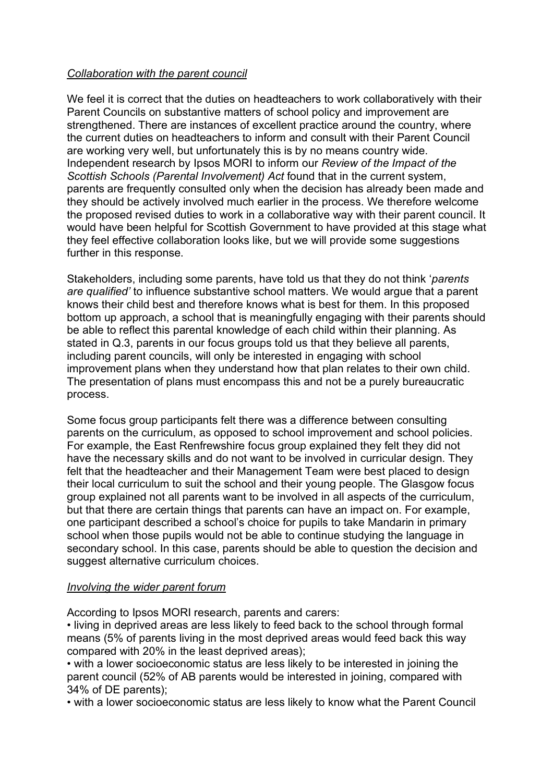# *Collaboration with the parent council*

We feel it is correct that the duties on headteachers to work collaboratively with their Parent Councils on substantive matters of school policy and improvement are strengthened. There are instances of excellent practice around the country, where the current duties on headteachers to inform and consult with their Parent Council are working very well, but unfortunately this is by no means country wide. Independent research by Ipsos MORI to inform our *Review of the Impact of the Scottish Schools (Parental Involvement) Act* found that in the current system, parents are frequently consulted only when the decision has already been made and they should be actively involved much earlier in the process. We therefore welcome the proposed revised duties to work in a collaborative way with their parent council. It would have been helpful for Scottish Government to have provided at this stage what they feel effective collaboration looks like, but we will provide some suggestions further in this response.

Stakeholders, including some parents, have told us that they do not think '*parents are qualified'* to influence substantive school matters. We would argue that a parent knows their child best and therefore knows what is best for them. In this proposed bottom up approach, a school that is meaningfully engaging with their parents should be able to reflect this parental knowledge of each child within their planning. As stated in Q.3, parents in our focus groups told us that they believe all parents, including parent councils, will only be interested in engaging with school improvement plans when they understand how that plan relates to their own child. The presentation of plans must encompass this and not be a purely bureaucratic process.

Some focus group participants felt there was a difference between consulting parents on the curriculum, as opposed to school improvement and school policies. For example, the East Renfrewshire focus group explained they felt they did not have the necessary skills and do not want to be involved in curricular design. They felt that the headteacher and their Management Team were best placed to design their local curriculum to suit the school and their young people. The Glasgow focus group explained not all parents want to be involved in all aspects of the curriculum, but that there are certain things that parents can have an impact on. For example, one participant described a school's choice for pupils to take Mandarin in primary school when those pupils would not be able to continue studying the language in secondary school. In this case, parents should be able to question the decision and suggest alternative curriculum choices.

#### *Involving the wider parent forum*

According to Ipsos MORI research, parents and carers:

• living in deprived areas are less likely to feed back to the school through formal means (5% of parents living in the most deprived areas would feed back this way compared with 20% in the least deprived areas);

• with a lower socioeconomic status are less likely to be interested in joining the parent council (52% of AB parents would be interested in joining, compared with 34% of DE parents);

• with a lower socioeconomic status are less likely to know what the Parent Council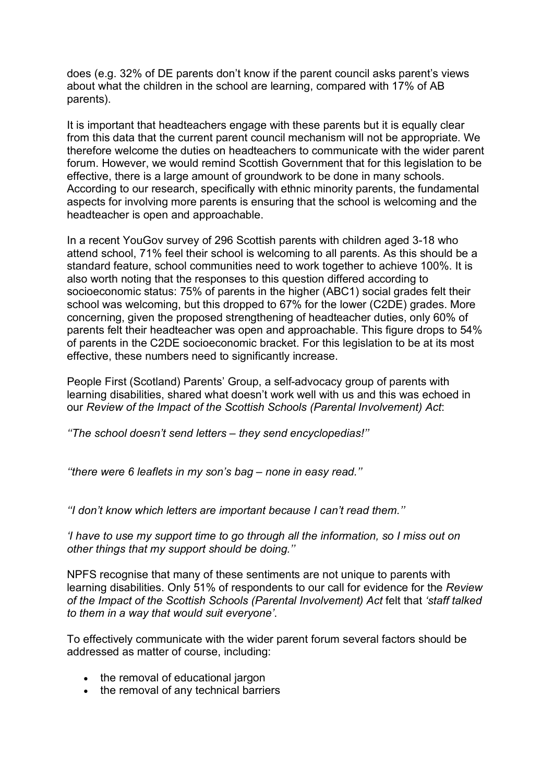does (e.g. 32% of DE parents don't know if the parent council asks parent's views about what the children in the school are learning, compared with 17% of AB parents).

It is important that headteachers engage with these parents but it is equally clear from this data that the current parent council mechanism will not be appropriate. We therefore welcome the duties on headteachers to communicate with the wider parent forum. However, we would remind Scottish Government that for this legislation to be effective, there is a large amount of groundwork to be done in many schools. According to our research, specifically with ethnic minority parents, the fundamental aspects for involving more parents is ensuring that the school is welcoming and the headteacher is open and approachable.

In a recent YouGov survey of 296 Scottish parents with children aged 3-18 who attend school, 71% feel their school is welcoming to all parents. As this should be a standard feature, school communities need to work together to achieve 100%. It is also worth noting that the responses to this question differed according to socioeconomic status: 75% of parents in the higher (ABC1) social grades felt their school was welcoming, but this dropped to 67% for the lower (C2DE) grades. More concerning, given the proposed strengthening of headteacher duties, only 60% of parents felt their headteacher was open and approachable. This figure drops to 54% of parents in the C2DE socioeconomic bracket. For this legislation to be at its most effective, these numbers need to significantly increase.

People First (Scotland) Parents' Group, a self-advocacy group of parents with learning disabilities, shared what doesn't work well with us and this was echoed in our *Review of the Impact of the Scottish Schools (Parental Involvement) Act*:

*''The school doesn't send letters – they send encyclopedias!''*

*''there were 6 leaflets in my son's bag – none in easy read.''*

*''I don't know which letters are important because I can't read them.''* 

*'I have to use my support time to go through all the information, so I miss out on other things that my support should be doing.''* 

NPFS recognise that many of these sentiments are not unique to parents with learning disabilities. Only 51% of respondents to our call for evidence for the *Review of the Impact of the Scottish Schools (Parental Involvement) Act* felt that *'staff talked to them in a way that would suit everyone'*.

To effectively communicate with the wider parent forum several factors should be addressed as matter of course, including:

- the removal of educational jargon
- the removal of any technical barriers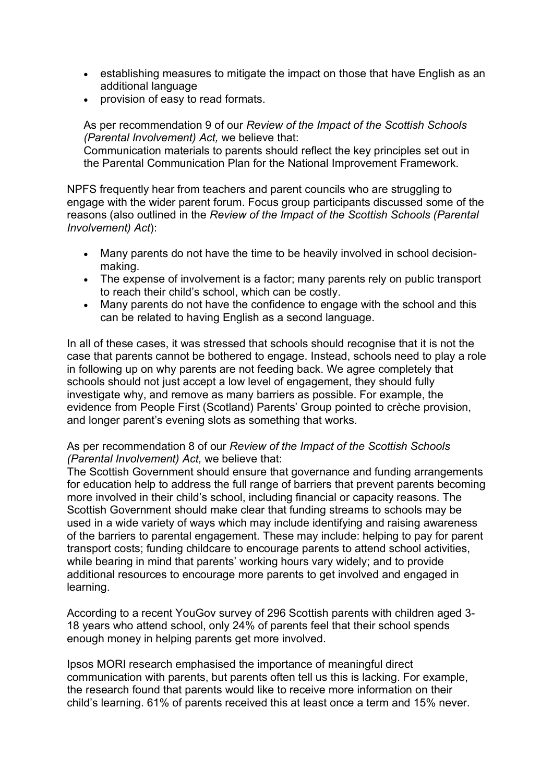- establishing measures to mitigate the impact on those that have English as an additional language
- provision of easy to read formats.

As per recommendation 9 of our *Review of the Impact of the Scottish Schools (Parental Involvement) Act,* we believe that: Communication materials to parents should reflect the key principles set out in the Parental Communication Plan for the National Improvement Framework.

NPFS frequently hear from teachers and parent councils who are struggling to engage with the wider parent forum. Focus group participants discussed some of the reasons (also outlined in the *Review of the Impact of the Scottish Schools (Parental Involvement) Act*):

- Many parents do not have the time to be heavily involved in school decisionmaking.
- The expense of involvement is a factor; many parents rely on public transport to reach their child's school, which can be costly.
- Many parents do not have the confidence to engage with the school and this can be related to having English as a second language.

In all of these cases, it was stressed that schools should recognise that it is not the case that parents cannot be bothered to engage. Instead, schools need to play a role in following up on why parents are not feeding back. We agree completely that schools should not just accept a low level of engagement, they should fully investigate why, and remove as many barriers as possible. For example, the evidence from People First (Scotland) Parents' Group pointed to crèche provision, and longer parent's evening slots as something that works.

#### As per recommendation 8 of our *Review of the Impact of the Scottish Schools (Parental Involvement) Act,* we believe that:

The Scottish Government should ensure that governance and funding arrangements for education help to address the full range of barriers that prevent parents becoming more involved in their child's school, including financial or capacity reasons. The Scottish Government should make clear that funding streams to schools may be used in a wide variety of ways which may include identifying and raising awareness of the barriers to parental engagement. These may include: helping to pay for parent transport costs; funding childcare to encourage parents to attend school activities, while bearing in mind that parents' working hours vary widely; and to provide additional resources to encourage more parents to get involved and engaged in learning.

According to a recent YouGov survey of 296 Scottish parents with children aged 3- 18 years who attend school, only 24% of parents feel that their school spends enough money in helping parents get more involved.

Ipsos MORI research emphasised the importance of meaningful direct communication with parents, but parents often tell us this is lacking. For example, the research found that parents would like to receive more information on their child's learning. 61% of parents received this at least once a term and 15% never.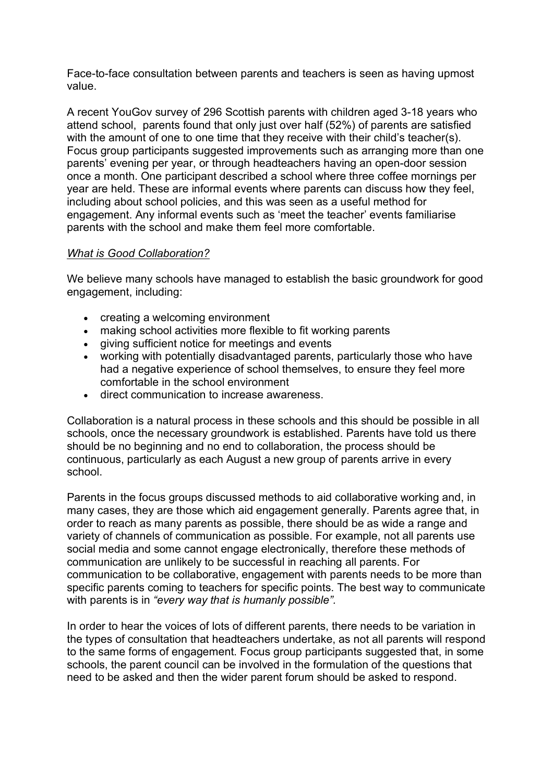Face-to-face consultation between parents and teachers is seen as having upmost value.

A recent YouGov survey of 296 Scottish parents with children aged 3-18 years who attend school, parents found that only just over half (52%) of parents are satisfied with the amount of one to one time that they receive with their child's teacher(s). Focus group participants suggested improvements such as arranging more than one parents' evening per year, or through headteachers having an open-door session once a month. One participant described a school where three coffee mornings per year are held. These are informal events where parents can discuss how they feel, including about school policies, and this was seen as a useful method for engagement. Any informal events such as 'meet the teacher' events familiarise parents with the school and make them feel more comfortable.

# *What is Good Collaboration?*

We believe many schools have managed to establish the basic groundwork for good engagement, including:

- creating a welcoming environment
- making school activities more flexible to fit working parents
- giving sufficient notice for meetings and events
- working with potentially disadvantaged parents, particularly those who have had a negative experience of school themselves, to ensure they feel more comfortable in the school environment
- direct communication to increase awareness.

Collaboration is a natural process in these schools and this should be possible in all schools, once the necessary groundwork is established. Parents have told us there should be no beginning and no end to collaboration, the process should be continuous, particularly as each August a new group of parents arrive in every school.

Parents in the focus groups discussed methods to aid collaborative working and, in many cases, they are those which aid engagement generally. Parents agree that, in order to reach as many parents as possible, there should be as wide a range and variety of channels of communication as possible. For example, not all parents use social media and some cannot engage electronically, therefore these methods of communication are unlikely to be successful in reaching all parents. For communication to be collaborative, engagement with parents needs to be more than specific parents coming to teachers for specific points. The best way to communicate with parents is in *"every way that is humanly possible".* 

In order to hear the voices of lots of different parents, there needs to be variation in the types of consultation that headteachers undertake, as not all parents will respond to the same forms of engagement. Focus group participants suggested that, in some schools, the parent council can be involved in the formulation of the questions that need to be asked and then the wider parent forum should be asked to respond.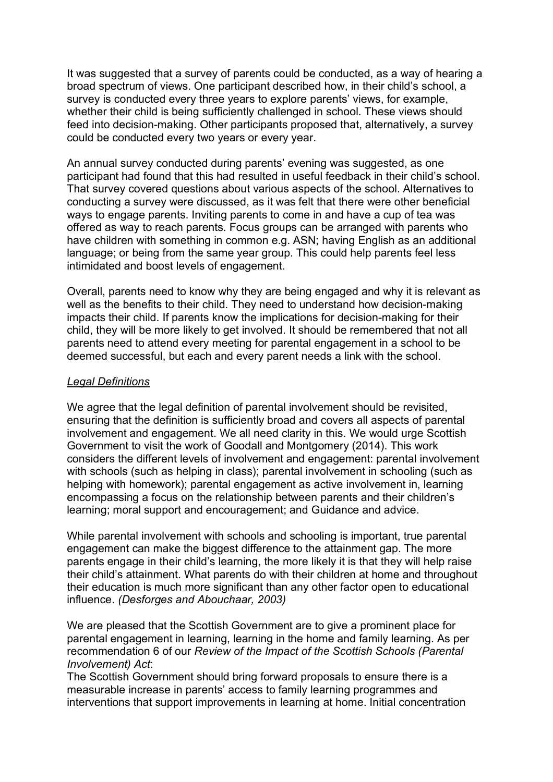It was suggested that a survey of parents could be conducted, as a way of hearing a broad spectrum of views. One participant described how, in their child's school, a survey is conducted every three years to explore parents' views, for example, whether their child is being sufficiently challenged in school. These views should feed into decision-making. Other participants proposed that, alternatively, a survey could be conducted every two years or every year.

An annual survey conducted during parents' evening was suggested, as one participant had found that this had resulted in useful feedback in their child's school. That survey covered questions about various aspects of the school. Alternatives to conducting a survey were discussed, as it was felt that there were other beneficial ways to engage parents. Inviting parents to come in and have a cup of tea was offered as way to reach parents. Focus groups can be arranged with parents who have children with something in common e.g. ASN; having English as an additional language; or being from the same year group. This could help parents feel less intimidated and boost levels of engagement.

Overall, parents need to know why they are being engaged and why it is relevant as well as the benefits to their child. They need to understand how decision-making impacts their child. If parents know the implications for decision-making for their child, they will be more likely to get involved. It should be remembered that not all parents need to attend every meeting for parental engagement in a school to be deemed successful, but each and every parent needs a link with the school.

#### *Legal Definitions*

We agree that the legal definition of parental involvement should be revisited, ensuring that the definition is sufficiently broad and covers all aspects of parental involvement and engagement. We all need clarity in this. We would urge Scottish Government to visit the work of Goodall and Montgomery (2014). This work considers the different levels of involvement and engagement: parental involvement with schools (such as helping in class); parental involvement in schooling (such as helping with homework); parental engagement as active involvement in, learning encompassing a focus on the relationship between parents and their children's learning; moral support and encouragement; and Guidance and advice.

While parental involvement with schools and schooling is important, true parental engagement can make the biggest difference to the attainment gap. The more parents engage in their child's learning, the more likely it is that they will help raise their child's attainment. What parents do with their children at home and throughout their education is much more significant than any other factor open to educational influence. *(Desforges and Abouchaar, 2003)* 

We are pleased that the Scottish Government are to give a prominent place for parental engagement in learning, learning in the home and family learning. As per recommendation 6 of our *Review of the Impact of the Scottish Schools (Parental Involvement) Act*:

The Scottish Government should bring forward proposals to ensure there is a measurable increase in parents' access to family learning programmes and interventions that support improvements in learning at home. Initial concentration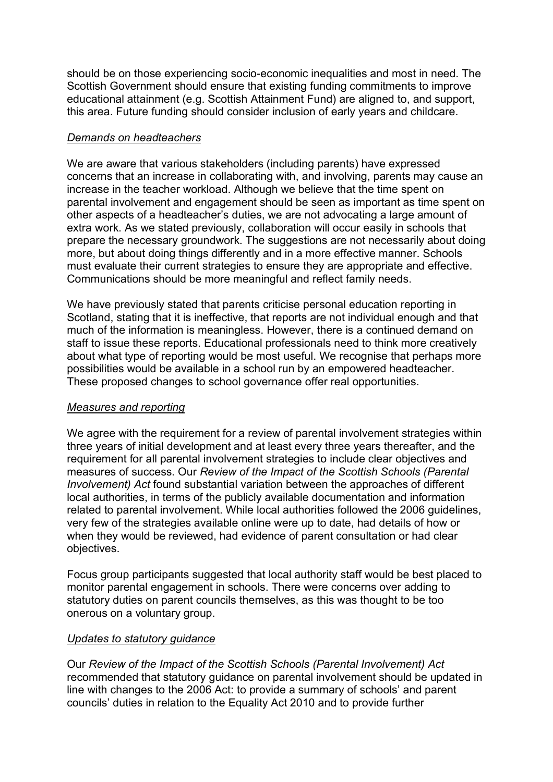should be on those experiencing socio-economic inequalities and most in need. The Scottish Government should ensure that existing funding commitments to improve educational attainment (e.g. Scottish Attainment Fund) are aligned to, and support, this area. Future funding should consider inclusion of early years and childcare.

# *Demands on headteachers*

We are aware that various stakeholders (including parents) have expressed concerns that an increase in collaborating with, and involving, parents may cause an increase in the teacher workload. Although we believe that the time spent on parental involvement and engagement should be seen as important as time spent on other aspects of a headteacher's duties, we are not advocating a large amount of extra work. As we stated previously, collaboration will occur easily in schools that prepare the necessary groundwork. The suggestions are not necessarily about doing more, but about doing things differently and in a more effective manner. Schools must evaluate their current strategies to ensure they are appropriate and effective. Communications should be more meaningful and reflect family needs.

We have previously stated that parents criticise personal education reporting in Scotland, stating that it is ineffective, that reports are not individual enough and that much of the information is meaningless. However, there is a continued demand on staff to issue these reports. Educational professionals need to think more creatively about what type of reporting would be most useful. We recognise that perhaps more possibilities would be available in a school run by an empowered headteacher. These proposed changes to school governance offer real opportunities.

#### *Measures and reporting*

We agree with the requirement for a review of parental involvement strategies within three years of initial development and at least every three years thereafter, and the requirement for all parental involvement strategies to include clear objectives and measures of success. Our *Review of the Impact of the Scottish Schools (Parental Involvement) Act* found substantial variation between the approaches of different local authorities, in terms of the publicly available documentation and information related to parental involvement. While local authorities followed the 2006 guidelines, very few of the strategies available online were up to date, had details of how or when they would be reviewed, had evidence of parent consultation or had clear objectives.

Focus group participants suggested that local authority staff would be best placed to monitor parental engagement in schools. There were concerns over adding to statutory duties on parent councils themselves, as this was thought to be too onerous on a voluntary group.

#### *Updates to statutory guidance*

Our *Review of the Impact of the Scottish Schools (Parental Involvement) Act*  recommended that statutory guidance on parental involvement should be updated in line with changes to the 2006 Act: to provide a summary of schools' and parent councils' duties in relation to the Equality Act 2010 and to provide further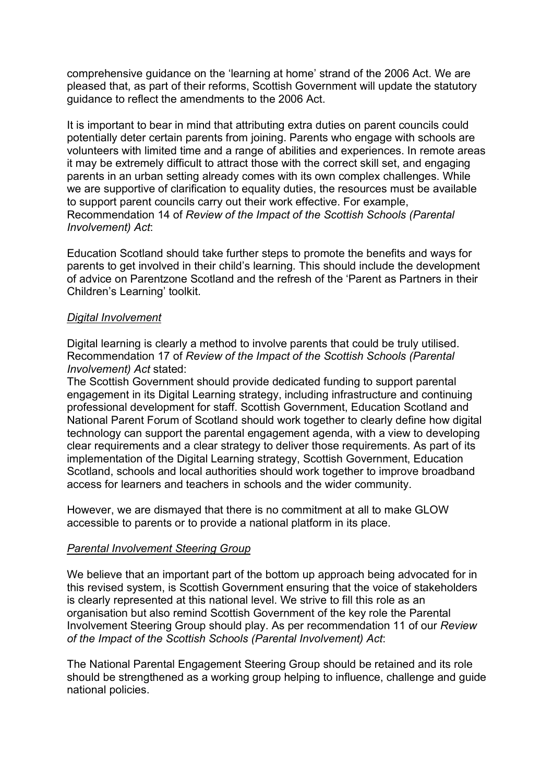comprehensive guidance on the 'learning at home' strand of the 2006 Act. We are pleased that, as part of their reforms, Scottish Government will update the statutory guidance to reflect the amendments to the 2006 Act.

It is important to bear in mind that attributing extra duties on parent councils could potentially deter certain parents from joining. Parents who engage with schools are volunteers with limited time and a range of abilities and experiences. In remote areas it may be extremely difficult to attract those with the correct skill set, and engaging parents in an urban setting already comes with its own complex challenges. While we are supportive of clarification to equality duties, the resources must be available to support parent councils carry out their work effective. For example, Recommendation 14 of *Review of the Impact of the Scottish Schools (Parental Involvement) Act*:

Education Scotland should take further steps to promote the benefits and ways for parents to get involved in their child's learning. This should include the development of advice on Parentzone Scotland and the refresh of the 'Parent as Partners in their Children's Learning' toolkit.

#### *Digital Involvement*

Digital learning is clearly a method to involve parents that could be truly utilised. Recommendation 17 of *Review of the Impact of the Scottish Schools (Parental Involvement) Act* stated:

The Scottish Government should provide dedicated funding to support parental engagement in its Digital Learning strategy, including infrastructure and continuing professional development for staff. Scottish Government, Education Scotland and National Parent Forum of Scotland should work together to clearly define how digital technology can support the parental engagement agenda, with a view to developing clear requirements and a clear strategy to deliver those requirements. As part of its implementation of the Digital Learning strategy, Scottish Government, Education Scotland, schools and local authorities should work together to improve broadband access for learners and teachers in schools and the wider community.

However, we are dismayed that there is no commitment at all to make GLOW accessible to parents or to provide a national platform in its place.

#### *Parental Involvement Steering Group*

We believe that an important part of the bottom up approach being advocated for in this revised system, is Scottish Government ensuring that the voice of stakeholders is clearly represented at this national level. We strive to fill this role as an organisation but also remind Scottish Government of the key role the Parental Involvement Steering Group should play. As per recommendation 11 of our *Review of the Impact of the Scottish Schools (Parental Involvement) Act*:

The National Parental Engagement Steering Group should be retained and its role should be strengthened as a working group helping to influence, challenge and guide national policies.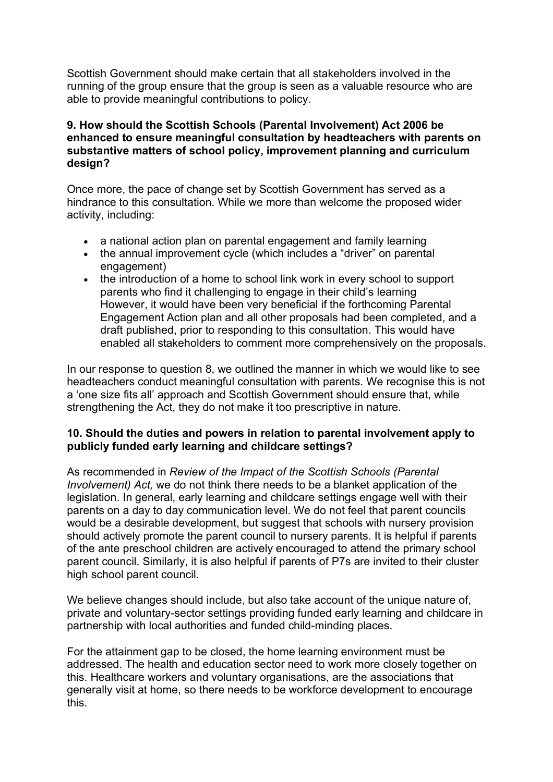Scottish Government should make certain that all stakeholders involved in the running of the group ensure that the group is seen as a valuable resource who are able to provide meaningful contributions to policy.

#### **9. How should the Scottish Schools (Parental Involvement) Act 2006 be enhanced to ensure meaningful consultation by headteachers with parents on substantive matters of school policy, improvement planning and curriculum design?**

Once more, the pace of change set by Scottish Government has served as a hindrance to this consultation. While we more than welcome the proposed wider activity, including:

- a national action plan on parental engagement and family learning
- the annual improvement cycle (which includes a "driver" on parental engagement)
- the introduction of a home to school link work in every school to support parents who find it challenging to engage in their child's learning However, it would have been very beneficial if the forthcoming Parental Engagement Action plan and all other proposals had been completed, and a draft published, prior to responding to this consultation. This would have enabled all stakeholders to comment more comprehensively on the proposals.

In our response to question 8, we outlined the manner in which we would like to see headteachers conduct meaningful consultation with parents. We recognise this is not a 'one size fits all' approach and Scottish Government should ensure that, while strengthening the Act, they do not make it too prescriptive in nature.

# **10. Should the duties and powers in relation to parental involvement apply to publicly funded early learning and childcare settings?**

As recommended in *Review of the Impact of the Scottish Schools (Parental Involvement) Act,* we do not think there needs to be a blanket application of the legislation. In general, early learning and childcare settings engage well with their parents on a day to day communication level. We do not feel that parent councils would be a desirable development, but suggest that schools with nursery provision should actively promote the parent council to nursery parents. It is helpful if parents of the ante preschool children are actively encouraged to attend the primary school parent council. Similarly, it is also helpful if parents of P7s are invited to their cluster high school parent council.

We believe changes should include, but also take account of the unique nature of. private and voluntary-sector settings providing funded early learning and childcare in partnership with local authorities and funded child-minding places.

For the attainment gap to be closed, the home learning environment must be addressed. The health and education sector need to work more closely together on this. Healthcare workers and voluntary organisations, are the associations that generally visit at home, so there needs to be workforce development to encourage this.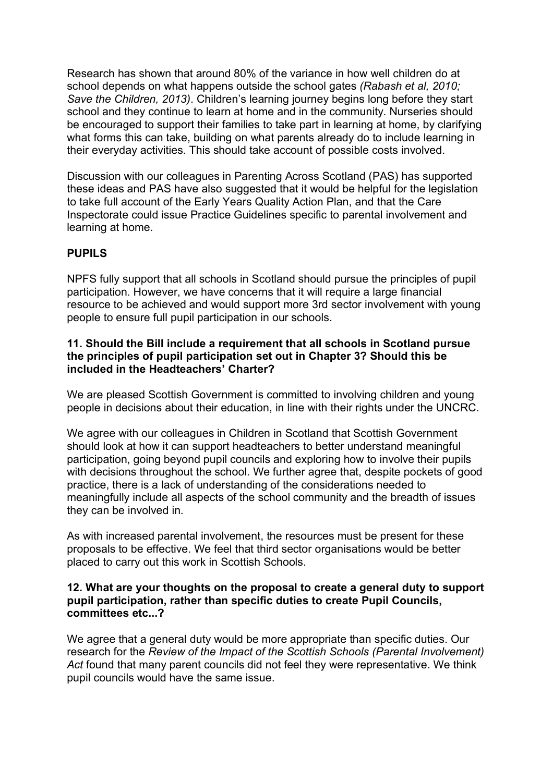Research has shown that around 80% of the variance in how well children do at school depends on what happens outside the school gates *(Rabash et al, 2010; Save the Children, 2013)*. Children's learning journey begins long before they start school and they continue to learn at home and in the community. Nurseries should be encouraged to support their families to take part in learning at home, by clarifying what forms this can take, building on what parents already do to include learning in their everyday activities. This should take account of possible costs involved.

Discussion with our colleagues in Parenting Across Scotland (PAS) has supported these ideas and PAS have also suggested that it would be helpful for the legislation to take full account of the Early Years Quality Action Plan, and that the Care Inspectorate could issue Practice Guidelines specific to parental involvement and learning at home.

# **PUPILS**

NPFS fully support that all schools in Scotland should pursue the principles of pupil participation. However, we have concerns that it will require a large financial resource to be achieved and would support more 3rd sector involvement with young people to ensure full pupil participation in our schools.

#### **11. Should the Bill include a requirement that all schools in Scotland pursue the principles of pupil participation set out in Chapter 3? Should this be included in the Headteachers' Charter?**

We are pleased Scottish Government is committed to involving children and young people in decisions about their education, in line with their rights under the UNCRC.

We agree with our colleagues in Children in Scotland that Scottish Government should look at how it can support headteachers to better understand meaningful participation, going beyond pupil councils and exploring how to involve their pupils with decisions throughout the school. We further agree that, despite pockets of good practice, there is a lack of understanding of the considerations needed to meaningfully include all aspects of the school community and the breadth of issues they can be involved in.

As with increased parental involvement, the resources must be present for these proposals to be effective. We feel that third sector organisations would be better placed to carry out this work in Scottish Schools.

#### **12. What are your thoughts on the proposal to create a general duty to support pupil participation, rather than specific duties to create Pupil Councils, committees etc...?**

We agree that a general duty would be more appropriate than specific duties. Our research for the *Review of the Impact of the Scottish Schools (Parental Involvement) Act* found that many parent councils did not feel they were representative. We think pupil councils would have the same issue.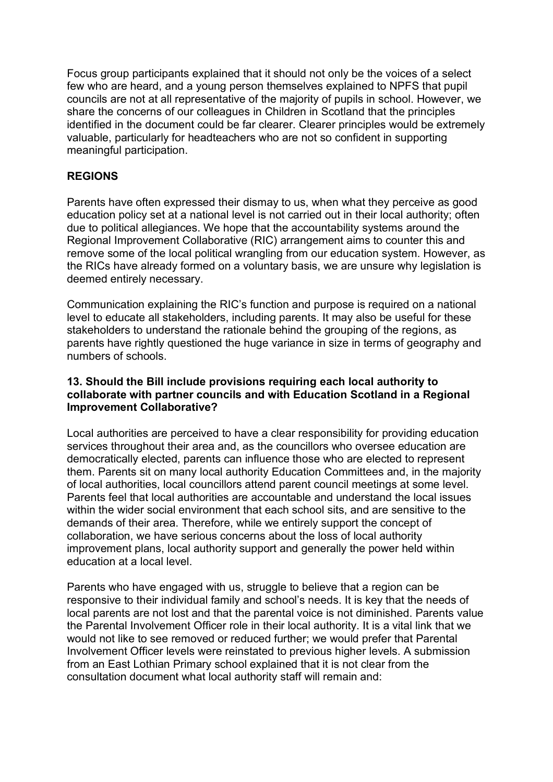Focus group participants explained that it should not only be the voices of a select few who are heard, and a young person themselves explained to NPFS that pupil councils are not at all representative of the majority of pupils in school. However, we share the concerns of our colleagues in Children in Scotland that the principles identified in the document could be far clearer. Clearer principles would be extremely valuable, particularly for headteachers who are not so confident in supporting meaningful participation.

# **REGIONS**

Parents have often expressed their dismay to us, when what they perceive as good education policy set at a national level is not carried out in their local authority; often due to political allegiances. We hope that the accountability systems around the Regional Improvement Collaborative (RIC) arrangement aims to counter this and remove some of the local political wrangling from our education system. However, as the RICs have already formed on a voluntary basis, we are unsure why legislation is deemed entirely necessary.

Communication explaining the RIC's function and purpose is required on a national level to educate all stakeholders, including parents. It may also be useful for these stakeholders to understand the rationale behind the grouping of the regions, as parents have rightly questioned the huge variance in size in terms of geography and numbers of schools.

# **13. Should the Bill include provisions requiring each local authority to collaborate with partner councils and with Education Scotland in a Regional Improvement Collaborative?**

Local authorities are perceived to have a clear responsibility for providing education services throughout their area and, as the councillors who oversee education are democratically elected, parents can influence those who are elected to represent them. Parents sit on many local authority Education Committees and, in the majority of local authorities, local councillors attend parent council meetings at some level. Parents feel that local authorities are accountable and understand the local issues within the wider social environment that each school sits, and are sensitive to the demands of their area. Therefore, while we entirely support the concept of collaboration, we have serious concerns about the loss of local authority improvement plans, local authority support and generally the power held within education at a local level.

Parents who have engaged with us, struggle to believe that a region can be responsive to their individual family and school's needs. It is key that the needs of local parents are not lost and that the parental voice is not diminished. Parents value the Parental Involvement Officer role in their local authority. It is a vital link that we would not like to see removed or reduced further; we would prefer that Parental Involvement Officer levels were reinstated to previous higher levels. A submission from an East Lothian Primary school explained that it is not clear from the consultation document what local authority staff will remain and: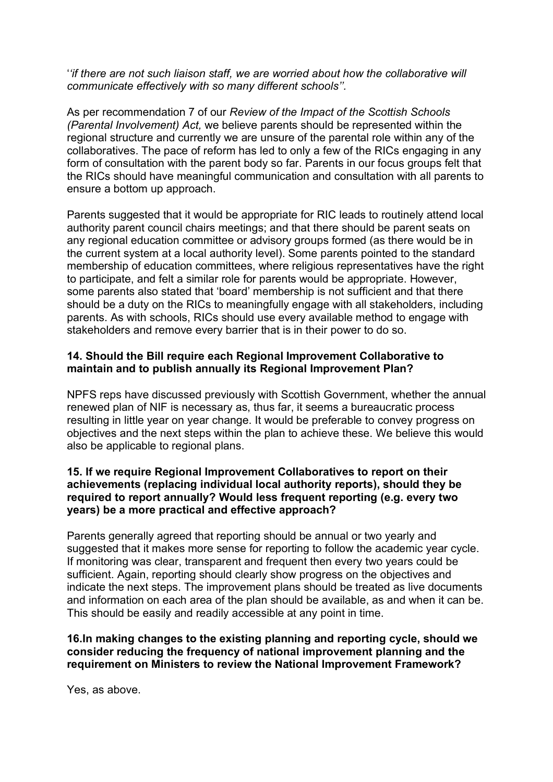'*'if there are not such liaison staff, we are worried about how the collaborative will communicate effectively with so many different schools''.* 

As per recommendation 7 of our *Review of the Impact of the Scottish Schools (Parental Involvement) Act,* we believe parents should be represented within the regional structure and currently we are unsure of the parental role within any of the collaboratives. The pace of reform has led to only a few of the RICs engaging in any form of consultation with the parent body so far. Parents in our focus groups felt that the RICs should have meaningful communication and consultation with all parents to ensure a bottom up approach.

Parents suggested that it would be appropriate for RIC leads to routinely attend local authority parent council chairs meetings; and that there should be parent seats on any regional education committee or advisory groups formed (as there would be in the current system at a local authority level). Some parents pointed to the standard membership of education committees, where religious representatives have the right to participate, and felt a similar role for parents would be appropriate. However, some parents also stated that 'board' membership is not sufficient and that there should be a duty on the RICs to meaningfully engage with all stakeholders, including parents. As with schools, RICs should use every available method to engage with stakeholders and remove every barrier that is in their power to do so.

#### **14. Should the Bill require each Regional Improvement Collaborative to maintain and to publish annually its Regional Improvement Plan?**

NPFS reps have discussed previously with Scottish Government, whether the annual renewed plan of NIF is necessary as, thus far, it seems a bureaucratic process resulting in little year on year change. It would be preferable to convey progress on objectives and the next steps within the plan to achieve these. We believe this would also be applicable to regional plans.

#### **15. If we require Regional Improvement Collaboratives to report on their achievements (replacing individual local authority reports), should they be required to report annually? Would less frequent reporting (e.g. every two years) be a more practical and effective approach?**

Parents generally agreed that reporting should be annual or two yearly and suggested that it makes more sense for reporting to follow the academic year cycle. If monitoring was clear, transparent and frequent then every two years could be sufficient. Again, reporting should clearly show progress on the objectives and indicate the next steps. The improvement plans should be treated as live documents and information on each area of the plan should be available, as and when it can be. This should be easily and readily accessible at any point in time.

#### **16.In making changes to the existing planning and reporting cycle, should we consider reducing the frequency of national improvement planning and the requirement on Ministers to review the National Improvement Framework?**

Yes, as above.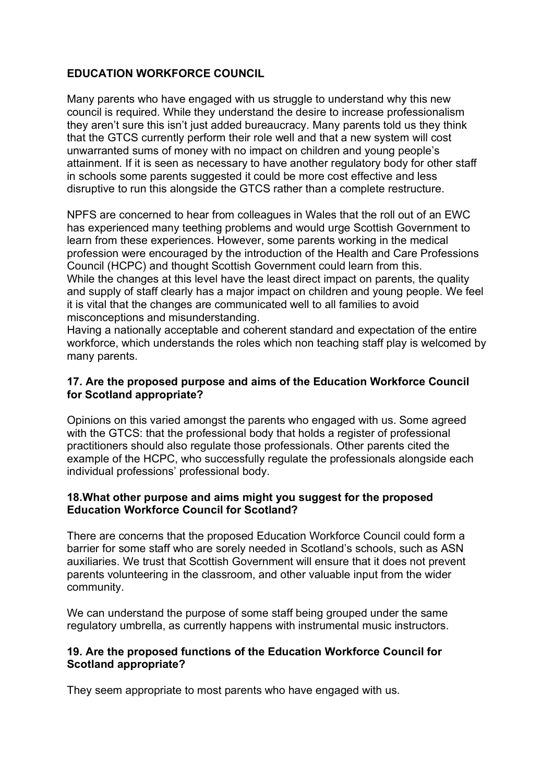# **EDUCATION WORKFORCE COUNCIL**

Many parents who have engaged with us struggle to understand why this new council is required. While they understand the desire to increase professionalism they aren't sure this isn't just added bureaucracy. Many parents told us they think that the GTCS currently perform their role well and that a new system will cost unwarranted sums of money with no impact on children and young people's attainment. If it is seen as necessary to have another regulatory body for other staff in schools some parents suggested it could be more cost effective and less disruptive to run this alongside the GTCS rather than a complete restructure.

NPFS are concerned to hear from colleagues in Wales that the roll out of an EWC has experienced many teething problems and would urge Scottish Government to learn from these experiences. However, some parents working in the medical profession were encouraged by the introduction of the Health and Care Professions Council (HCPC) and thought Scottish Government could learn from this. While the changes at this level have the least direct impact on parents, the quality and supply of staff clearly has a major impact on children and young people. We feel it is vital that the changes are communicated well to all families to avoid misconceptions and misunderstanding.

Having a nationally acceptable and coherent standard and expectation of the entire workforce, which understands the roles which non teaching staff play is welcomed by many parents.

# **17. Are the proposed purpose and aims of the Education Workforce Council for Scotland appropriate?**

Opinions on this varied amongst the parents who engaged with us. Some agreed with the GTCS: that the professional body that holds a register of professional practitioners should also regulate those professionals. Other parents cited the example of the HCPC, who successfully regulate the professionals alongside each individual professions' professional body.

#### **18.What other purpose and aims might you suggest for the proposed Education Workforce Council for Scotland?**

There are concerns that the proposed Education Workforce Council could form a barrier for some staff who are sorely needed in Scotland's schools, such as ASN auxiliaries. We trust that Scottish Government will ensure that it does not prevent parents volunteering in the classroom, and other valuable input from the wider community.

We can understand the purpose of some staff being grouped under the same regulatory umbrella, as currently happens with instrumental music instructors.

# **19. Are the proposed functions of the Education Workforce Council for Scotland appropriate?**

They seem appropriate to most parents who have engaged with us.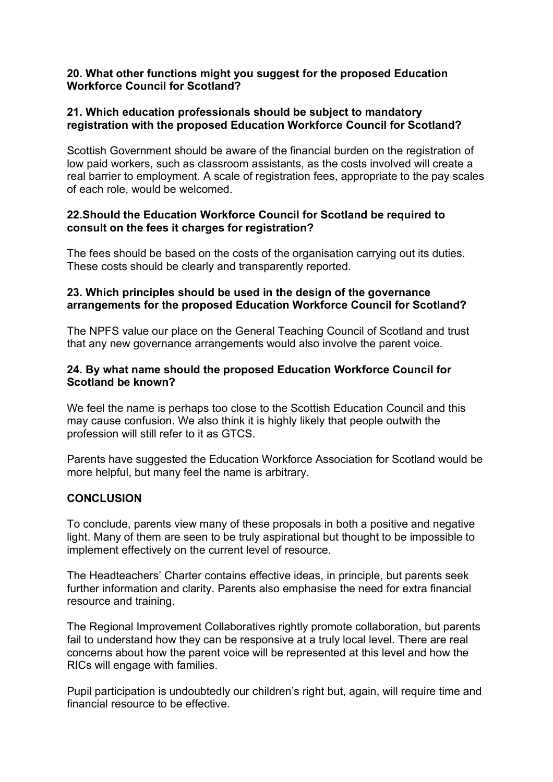#### **20. What other functions might you suggest for the proposed Education Workforce Council for Scotland?**

# **21. Which education professionals should be subject to mandatory registration with the proposed Education Workforce Council for Scotland?**

Scottish Government should be aware of the financial burden on the registration of low paid workers, such as classroom assistants, as the costs involved will create a real barrier to employment. A scale of registration fees, appropriate to the pay scales of each role, would be welcomed.

# **22.Should the Education Workforce Council for Scotland be required to consult on the fees it charges for registration?**

The fees should be based on the costs of the organisation carrying out its duties. These costs should be clearly and transparently reported.

# **23. Which principles should be used in the design of the governance arrangements for the proposed Education Workforce Council for Scotland?**

The NPFS value our place on the General Teaching Council of Scotland and trust that any new governance arrangements would also involve the parent voice.

# **24. By what name should the proposed Education Workforce Council for Scotland be known?**

We feel the name is perhaps too close to the Scottish Education Council and this may cause confusion. We also think it is highly likely that people outwith the profession will still refer to it as GTCS.

Parents have suggested the Education Workforce Association for Scotland would be more helpful, but many feel the name is arbitrary.

#### **CONCLUSION**

To conclude, parents view many of these proposals in both a positive and negative light. Many of them are seen to be truly aspirational but thought to be impossible to implement effectively on the current level of resource.

The Headteachers' Charter contains effective ideas, in principle, but parents seek further information and clarity. Parents also emphasise the need for extra financial resource and training.

The Regional Improvement Collaboratives rightly promote collaboration, but parents fail to understand how they can be responsive at a truly local level. There are real concerns about how the parent voice will be represented at this level and how the RICs will engage with families.

Pupil participation is undoubtedly our children's right but, again, will require time and financial resource to be effective.